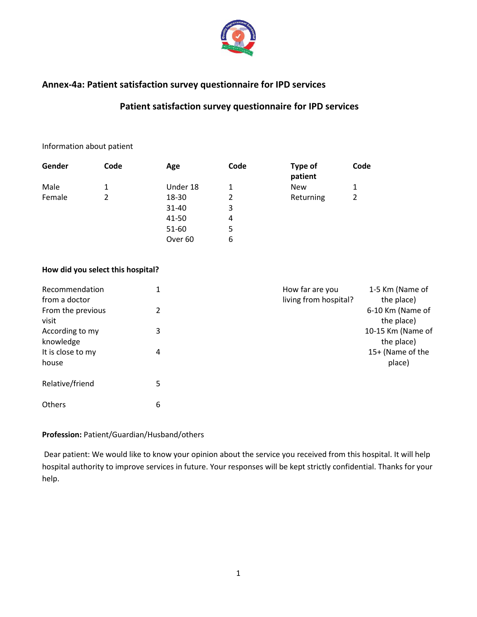

## **Annex-4a: Patient satisfaction survey questionnaire for IPD services**

# **Patient satisfaction survey questionnaire for IPD services**

#### Information about patient

| Gender | Code | Age                | Code | Type of<br>patient | Code |
|--------|------|--------------------|------|--------------------|------|
| Male   | 1    | Under 18           | 1    | <b>New</b>         | 1    |
| Female |      | 18-30              | 2    | Returning          | 2    |
|        |      | 31-40              | 3    |                    |      |
|        |      | 41-50              | 4    |                    |      |
|        |      | 51-60              | 5    |                    |      |
|        |      | Over <sub>60</sub> | 6    |                    |      |

### **How did you select this hospital?**

| Recommendation               | 1 | How far are you       | 1-5 Km (Name of                 |
|------------------------------|---|-----------------------|---------------------------------|
| from a doctor                |   | living from hospital? | the place)                      |
| From the previous<br>visit   | 2 |                       | 6-10 Km (Name of<br>the place)  |
| According to my<br>knowledge | 3 |                       | 10-15 Km (Name of<br>the place) |
| It is close to my<br>house   | 4 |                       | 15+ (Name of the<br>place)      |
| Relative/friend              | 5 |                       |                                 |
| <b>Others</b>                | 6 |                       |                                 |

### **Profession:** Patient/Guardian/Husband/others

Dear patient: We would like to know your opinion about the service you received from this hospital. It will help hospital authority to improve services in future. Your responses will be kept strictly confidential. Thanks for your help.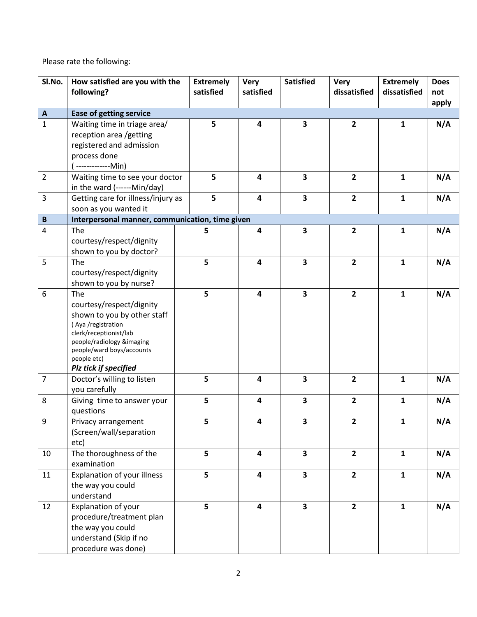Please rate the following:

| SI.No.                         | How satisfied are you with the<br>following?                                                                                                                                                                     | <b>Extremely</b><br>satisfied | <b>Very</b><br>satisfied | <b>Satisfied</b>        | <b>Very</b><br>dissatisfied | <b>Extremely</b><br>dissatisfied | <b>Does</b><br>not<br>apply |
|--------------------------------|------------------------------------------------------------------------------------------------------------------------------------------------------------------------------------------------------------------|-------------------------------|--------------------------|-------------------------|-----------------------------|----------------------------------|-----------------------------|
| $\boldsymbol{\mathsf{A}}$      | <b>Ease of getting service</b>                                                                                                                                                                                   |                               |                          |                         |                             |                                  |                             |
| $\mathbf{1}$                   | Waiting time in triage area/<br>reception area /getting<br>registered and admission<br>process done<br>-------------Min)                                                                                         | 5                             | $\overline{\mathbf{4}}$  | 3                       | $\overline{2}$              | $\mathbf{1}$                     | N/A                         |
| $\overline{2}$                 | Waiting time to see your doctor<br>in the ward (------Min/day)                                                                                                                                                   | 5                             | $\overline{\mathbf{4}}$  | 3                       | $\overline{2}$              | $\mathbf{1}$                     | N/A                         |
| $\overline{3}$<br>$\, {\bf B}$ | Getting care for illness/injury as<br>soon as you wanted it<br>Interpersonal manner, communication, time given                                                                                                   | 5                             | $\overline{\mathbf{4}}$  | 3                       | $\overline{2}$              | $\mathbf{1}$                     | N/A                         |
| 4                              | The                                                                                                                                                                                                              | 5                             | $\overline{\mathbf{4}}$  | 3                       | $\overline{\mathbf{2}}$     | $\mathbf{1}$                     | N/A                         |
|                                | courtesy/respect/dignity<br>shown to you by doctor?                                                                                                                                                              |                               |                          |                         |                             |                                  |                             |
| 5                              | The<br>courtesy/respect/dignity<br>shown to you by nurse?                                                                                                                                                        | 5                             | 4                        | 3                       | $\overline{2}$              | $\mathbf{1}$                     | N/A                         |
| $\boldsymbol{6}$               | The<br>courtesy/respect/dignity<br>shown to you by other staff<br>(Aya /registration<br>clerk/receptionist/lab<br>people/radiology &imaging<br>people/ward boys/accounts<br>people etc)<br>Plz tick if specified | 5                             | $\overline{\mathbf{4}}$  | $\overline{\mathbf{3}}$ | $\overline{2}$              | $\mathbf{1}$                     | N/A                         |
| $\overline{7}$                 | Doctor's willing to listen<br>you carefully                                                                                                                                                                      | 5                             | 4                        | 3                       | $\overline{2}$              | $\mathbf{1}$                     | N/A                         |
| 8                              | Giving time to answer your<br>questions                                                                                                                                                                          | 5                             | $\overline{\mathbf{4}}$  | 3                       | $\overline{2}$              | $\mathbf{1}$                     | N/A                         |
| q                              | Privacy arrangement<br>(Screen/wall/separation<br>etc)                                                                                                                                                           | 5                             | 4                        | 3                       | $\overline{2}$              | $\mathbf{1}$                     | N/A                         |
| 10                             | The thoroughness of the<br>examination                                                                                                                                                                           | 5                             | $\overline{\mathbf{4}}$  | 3                       | $\overline{2}$              | $\mathbf{1}$                     | N/A                         |
| 11                             | Explanation of your illness<br>the way you could<br>understand                                                                                                                                                   | 5                             | $\overline{\mathbf{4}}$  | $\overline{\mathbf{3}}$ | $\overline{2}$              | $\mathbf{1}$                     | N/A                         |
| 12                             | Explanation of your<br>procedure/treatment plan<br>the way you could<br>understand (Skip if no<br>procedure was done)                                                                                            | 5                             | $\overline{\mathbf{4}}$  | 3                       | $\overline{2}$              | $\mathbf{1}$                     | N/A                         |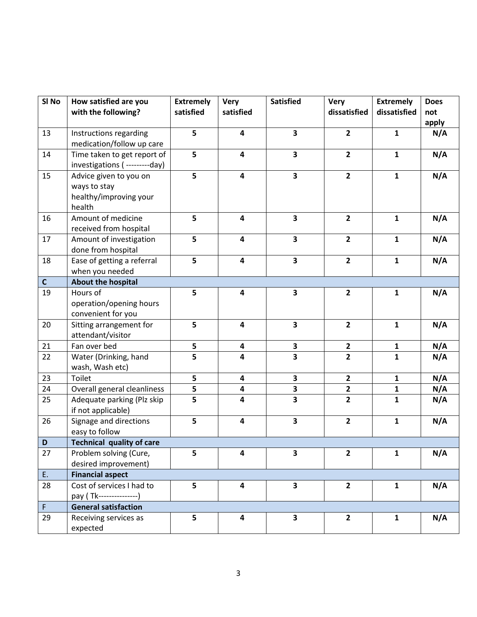| SI No       | How satisfied are you                            | <b>Extremely</b> | <b>Very</b>             | <b>Satisfied</b>        | <b>Very</b>    | <b>Extremely</b> | <b>Does</b> |
|-------------|--------------------------------------------------|------------------|-------------------------|-------------------------|----------------|------------------|-------------|
|             | with the following?                              | satisfied        | satisfied               |                         | dissatisfied   | dissatisfied     | not         |
|             |                                                  |                  |                         |                         |                |                  | apply       |
| 13          | Instructions regarding                           | 5                | 4                       | $\overline{\mathbf{3}}$ | $\overline{2}$ | $\mathbf{1}$     | N/A         |
|             | medication/follow up care                        |                  |                         |                         |                |                  |             |
| 14          | Time taken to get report of                      | 5                | $\overline{\mathbf{4}}$ | $\overline{\mathbf{3}}$ | $\overline{2}$ | $\mathbf{1}$     | N/A         |
|             | investigations ( ---------day)                   |                  |                         |                         |                |                  |             |
| 15          | Advice given to you on                           | 5                | $\overline{\mathbf{4}}$ | $\overline{\mathbf{3}}$ | $\overline{2}$ | $\mathbf{1}$     | N/A         |
|             | ways to stay                                     |                  |                         |                         |                |                  |             |
|             | healthy/improving your                           |                  |                         |                         |                |                  |             |
|             | health                                           |                  |                         |                         |                |                  |             |
| 16          | Amount of medicine                               | 5                | $\overline{\mathbf{4}}$ | $\overline{\mathbf{3}}$ | $\overline{2}$ | $\mathbf{1}$     | N/A         |
|             | received from hospital                           |                  |                         |                         |                |                  |             |
| 17          | Amount of investigation                          | 5                | $\overline{\mathbf{4}}$ | $\overline{\mathbf{3}}$ | $\overline{2}$ | $\mathbf{1}$     | N/A         |
|             | done from hospital                               |                  |                         |                         |                |                  |             |
| 18          | Ease of getting a referral                       | 5                | 4                       | $\overline{\mathbf{3}}$ | $\overline{2}$ | $\mathbf{1}$     | N/A         |
|             | when you needed                                  |                  |                         |                         |                |                  |             |
| $\mathbf C$ | About the hospital                               |                  |                         |                         |                |                  |             |
| 19          | Hours of                                         | 5                | 4                       | $\overline{\mathbf{3}}$ | $\overline{2}$ | $\mathbf{1}$     | N/A         |
|             | operation/opening hours                          |                  |                         |                         |                |                  |             |
|             | convenient for you                               |                  |                         |                         |                |                  |             |
| 20          | Sitting arrangement for                          | 5                | $\overline{\mathbf{4}}$ | $\overline{\mathbf{3}}$ | $\overline{2}$ | $\mathbf{1}$     | N/A         |
|             | attendant/visitor                                |                  |                         |                         |                |                  |             |
| 21          | Fan over bed                                     | 5                | 4                       | $\mathbf{3}$            | $\mathbf{2}$   | $\mathbf{1}$     | N/A         |
| 22          | Water (Drinking, hand                            | 5                | 4                       | 3                       | $\overline{2}$ | $\mathbf{1}$     | N/A         |
|             | wash, Wash etc)                                  |                  |                         |                         |                |                  |             |
| 23          | Toilet                                           | 5                | $\overline{\mathbf{4}}$ | $\mathbf{3}$            | $\overline{2}$ | $\mathbf{1}$     | N/A         |
| 24          | Overall general cleanliness                      | 5                | 4                       | 3                       | $\mathbf{2}$   | 1                | N/A         |
| 25          | Adequate parking (Plz skip<br>if not applicable) | 5                | $\overline{\mathbf{4}}$ | $\overline{\mathbf{3}}$ | $\overline{2}$ | $\mathbf{1}$     | N/A         |
| 26          | Signage and directions                           | 5                | $\overline{\mathbf{4}}$ | $\overline{\mathbf{3}}$ | $\overline{2}$ | $\mathbf{1}$     | N/A         |
|             | easy to follow                                   |                  |                         |                         |                |                  |             |
| D           | <b>Technical quality of care</b>                 |                  |                         |                         |                |                  |             |
| 27          | Problem solving (Cure,                           | 5                | 4                       | $\overline{\mathbf{3}}$ | $\overline{2}$ | $\mathbf{1}$     | N/A         |
|             | desired improvement)                             |                  |                         |                         |                |                  |             |
| E.          | <b>Financial aspect</b>                          |                  |                         |                         |                |                  |             |
| 28          | Cost of services I had to                        | 5                | $\overline{\mathbf{4}}$ | $\mathbf{3}$            | $\overline{2}$ | $\mathbf{1}$     | N/A         |
|             | pay (Tk----------------)                         |                  |                         |                         |                |                  |             |
| $\mathsf F$ | <b>General satisfaction</b>                      |                  |                         |                         |                |                  |             |
| 29          | Receiving services as                            | 5                | $\overline{\mathbf{4}}$ | $\mathbf{3}$            | $\mathbf{2}$   | $\mathbf{1}$     | N/A         |
|             | expected                                         |                  |                         |                         |                |                  |             |